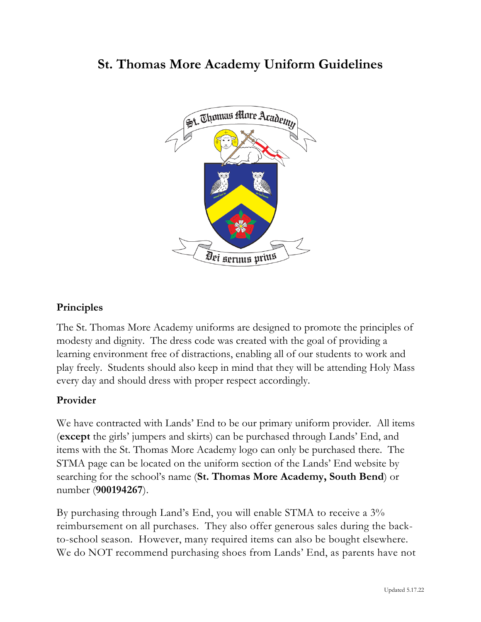# **St. Thomas More Academy Uniform Guidelines**



## **Principles**

The St. Thomas More Academy uniforms are designed to promote the principles of modesty and dignity. The dress code was created with the goal of providing a learning environment free of distractions, enabling all of our students to work and play freely. Students should also keep in mind that they will be attending Holy Mass every day and should dress with proper respect accordingly.

#### **Provider**

We have contracted with Lands' End to be our primary uniform provider. All items (**except** the girls' jumpers and skirts) can be purchased through Lands' End, and items with the St. Thomas More Academy logo can only be purchased there. The STMA page can be located on the uniform section of the Lands' End website by searching for the school's name (**St. Thomas More Academy, South Bend**) or number (**900194267**).

By purchasing through Land's End, you will enable STMA to receive a 3% reimbursement on all purchases. They also offer generous sales during the backto-school season. However, many required items can also be bought elsewhere. We do NOT recommend purchasing shoes from Lands' End, as parents have not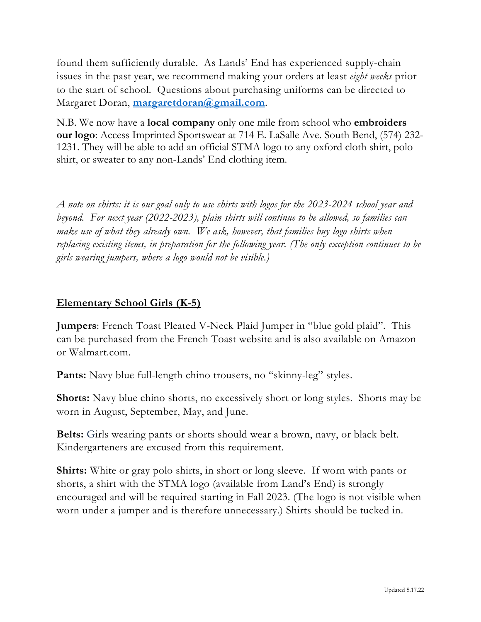found them sufficiently durable. As Lands' End has experienced supply-chain issues in the past year, we recommend making your orders at least *eight weeks* prior to the start of school. Questions about purchasing uniforms can be directed to Margaret Doran, **margaretdoran@gmail.com**.

N.B. We now have a **local company** only one mile from school who **embroiders our logo**: Access Imprinted Sportswear at 714 E. LaSalle Ave. South Bend, (574) 232- 1231. They will be able to add an official STMA logo to any oxford cloth shirt, polo shirt, or sweater to any non-Lands' End clothing item.

*A note on shirts: it is our goal only to use shirts with logos for the 2023-2024 school year and beyond. For next year (2022-2023), plain shirts will continue to be allowed, so families can make use of what they already own. We ask, however, that families buy logo shirts when replacing existing items, in preparation for the following year. (The only exception continues to be girls wearing jumpers, where a logo would not be visible.)*

## **Elementary School Girls (K-5)**

**Jumpers**: French Toast Pleated V-Neck Plaid Jumper in "blue gold plaid". This can be purchased from the French Toast website and is also available on Amazon or Walmart.com.

Pants: Navy blue full-length chino trousers, no "skinny-leg" styles.

**Shorts:** Navy blue chino shorts, no excessively short or long styles. Shorts may be worn in August, September, May, and June.

**Belts:** Girls wearing pants or shorts should wear a brown, navy, or black belt. Kindergarteners are excused from this requirement.

**Shirts:** White or gray polo shirts, in short or long sleeve. If worn with pants or shorts, a shirt with the STMA logo (available from Land's End) is strongly encouraged and will be required starting in Fall 2023. (The logo is not visible when worn under a jumper and is therefore unnecessary.) Shirts should be tucked in.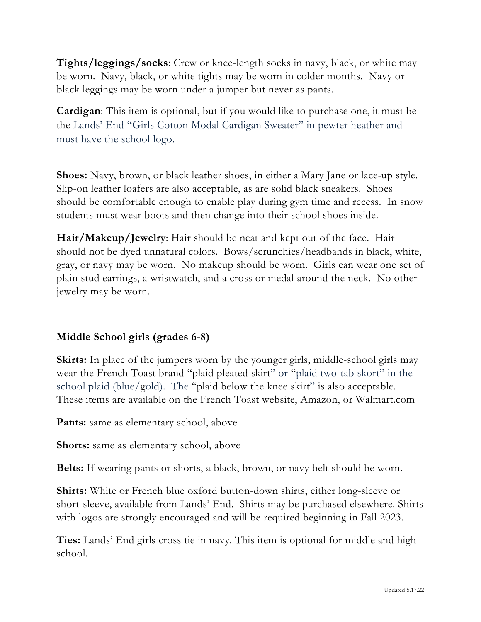**Tights/leggings/socks**: Crew or knee-length socks in navy, black, or white may be worn. Navy, black, or white tights may be worn in colder months. Navy or black leggings may be worn under a jumper but never as pants.

**Cardigan**: This item is optional, but if you would like to purchase one, it must be the Lands' End "Girls Cotton Modal Cardigan Sweater" in pewter heather and must have the school logo.

**Shoes:** Navy, brown, or black leather shoes, in either a Mary Jane or lace-up style. Slip-on leather loafers are also acceptable, as are solid black sneakers. Shoes should be comfortable enough to enable play during gym time and recess. In snow students must wear boots and then change into their school shoes inside.

**Hair/Makeup/Jewelry**: Hair should be neat and kept out of the face. Hair should not be dyed unnatural colors. Bows/scrunchies/headbands in black, white, gray, or navy may be worn. No makeup should be worn. Girls can wear one set of plain stud earrings, a wristwatch, and a cross or medal around the neck. No other jewelry may be worn.

## **Middle School girls (grades 6-8)**

**Skirts:** In place of the jumpers worn by the younger girls, middle-school girls may wear the French Toast brand "plaid pleated skirt" or "plaid two-tab skort" in the school plaid (blue/gold). The "plaid below the knee skirt" is also acceptable. These items are available on the French Toast website, Amazon, or Walmart.com

**Pants:** same as elementary school, above

**Shorts:** same as elementary school, above

**Belts:** If wearing pants or shorts, a black, brown, or navy belt should be worn.

**Shirts:** White or French blue oxford button-down shirts, either long-sleeve or short-sleeve, available from Lands' End. Shirts may be purchased elsewhere. Shirts with logos are strongly encouraged and will be required beginning in Fall 2023.

**Ties:** Lands' End girls cross tie in navy. This item is optional for middle and high school.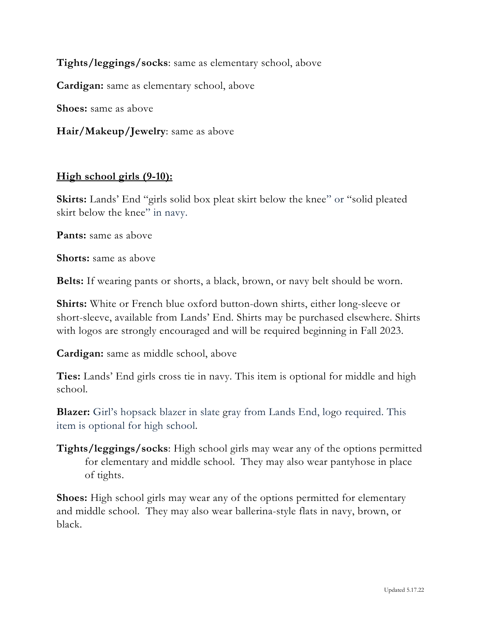**Tights/leggings/socks**: same as elementary school, above

**Cardigan:** same as elementary school, above

**Shoes:** same as above

**Hair/Makeup/Jewelry**: same as above

#### **High school girls (9-10):**

**Skirts:** Lands' End "girls solid box pleat skirt below the knee" or "solid pleated skirt below the knee" in navy.

**Pants:** same as above

**Shorts:** same as above

**Belts:** If wearing pants or shorts, a black, brown, or navy belt should be worn.

**Shirts:** White or French blue oxford button-down shirts, either long-sleeve or short-sleeve, available from Lands' End. Shirts may be purchased elsewhere. Shirts with logos are strongly encouraged and will be required beginning in Fall 2023.

**Cardigan:** same as middle school, above

**Ties:** Lands' End girls cross tie in navy. This item is optional for middle and high school.

**Blazer:** Girl's hopsack blazer in slate gray from Lands End, logo required. This item is optional for high school.

**Tights/leggings/socks**: High school girls may wear any of the options permitted for elementary and middle school. They may also wear pantyhose in place of tights.

**Shoes:** High school girls may wear any of the options permitted for elementary and middle school. They may also wear ballerina-style flats in navy, brown, or black.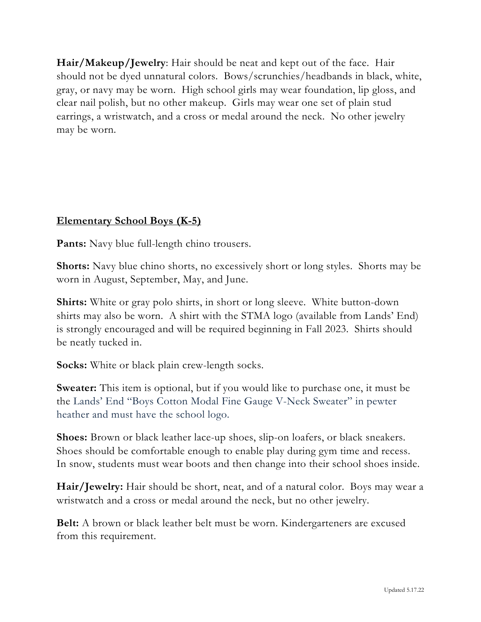**Hair/Makeup/Jewelry**: Hair should be neat and kept out of the face. Hair should not be dyed unnatural colors. Bows/scrunchies/headbands in black, white, gray, or navy may be worn. High school girls may wear foundation, lip gloss, and clear nail polish, but no other makeup. Girls may wear one set of plain stud earrings, a wristwatch, and a cross or medal around the neck. No other jewelry may be worn.

## **Elementary School Boys (K-5)**

**Pants:** Navy blue full-length chino trousers.

**Shorts:** Navy blue chino shorts, no excessively short or long styles. Shorts may be worn in August, September, May, and June.

**Shirts:** White or gray polo shirts, in short or long sleeve. White button-down shirts may also be worn. A shirt with the STMA logo (available from Lands' End) is strongly encouraged and will be required beginning in Fall 2023. Shirts should be neatly tucked in.

**Socks:** White or black plain crew-length socks.

**Sweater:** This item is optional, but if you would like to purchase one, it must be the Lands' End "Boys Cotton Modal Fine Gauge V-Neck Sweater" in pewter heather and must have the school logo.

**Shoes:** Brown or black leather lace-up shoes, slip-on loafers, or black sneakers. Shoes should be comfortable enough to enable play during gym time and recess. In snow, students must wear boots and then change into their school shoes inside.

**Hair/Jewelry:** Hair should be short, neat, and of a natural color. Boys may wear a wristwatch and a cross or medal around the neck, but no other jewelry.

**Belt:** A brown or black leather belt must be worn. Kindergarteners are excused from this requirement.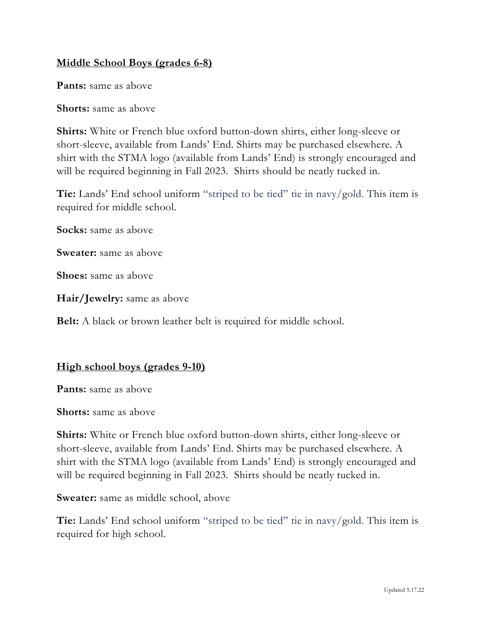## **Middle School Boys (grades 6-8)**

**Pants:** same as above

**Shorts:** same as above

**Shirts:** White or French blue oxford button-down shirts, either long-sleeve or short-sleeve, available from Lands' End. Shirts may be purchased elsewhere. A shirt with the STMA logo (available from Lands' End) is strongly encouraged and will be required beginning in Fall 2023. Shirts should be neatly tucked in.

**Tie:** Lands' End school uniform "striped to be tied" tie in navy/gold. This item is required for middle school.

**Socks:** same as above

**Sweater:** same as above

**Shoes:** same as above

**Hair/Jewelry:** same as above

**Belt:** A black or brown leather belt is required for middle school.

#### **High school boys (grades 9-10)**

**Pants:** same as above

**Shorts:** same as above

**Shirts:** White or French blue oxford button-down shirts, either long-sleeve or short-sleeve, available from Lands' End. Shirts may be purchased elsewhere. A shirt with the STMA logo (available from Lands' End) is strongly encouraged and will be required beginning in Fall 2023. Shirts should be neatly tucked in.

**Sweater:** same as middle school, above

**Tie:** Lands' End school uniform "striped to be tied" tie in navy/gold. This item is required for high school.